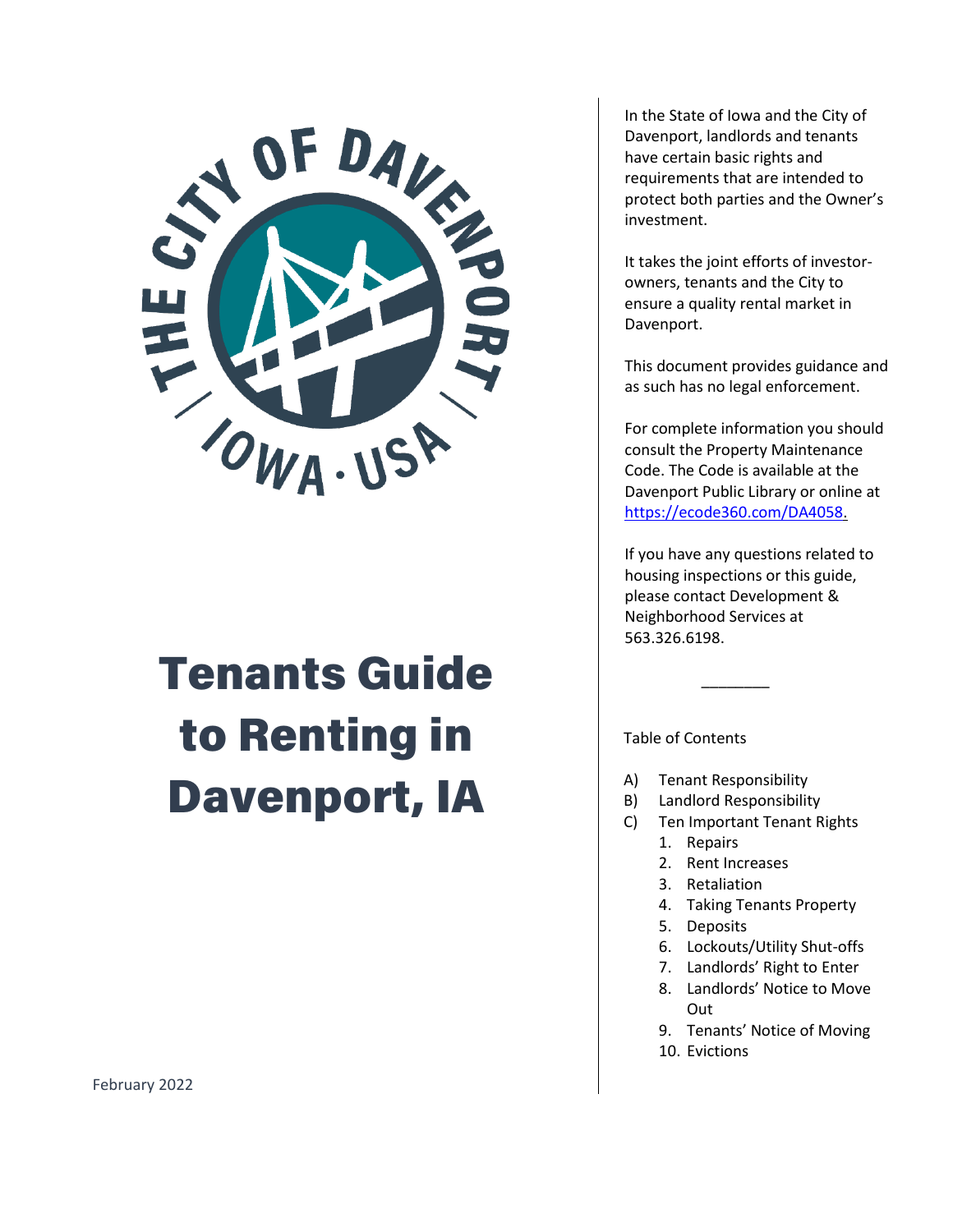

# Tenants Guide to Renting in Davenport, IA

In the State of Iowa and the City of Davenport, landlords and tenants have certain basic rights and requirements that are intended to protect both parties and the Owner's investment.

It takes the joint efforts of investorowners, tenants and the City to ensure a quality rental market in Davenport.

This document provides guidance and as such has no legal enforcement.

For complete information you should consult the Property Maintenance Code. The Code is available at the Davenport Public Library or online at [https://ecode360.com/DA4058.](https://ecode360.com/DA4058)

If you have any questions related to housing inspections or this guide, please contact Development & Neighborhood Services at 563.326.6198.

 $\overline{\phantom{a}}$ 

Table of Contents

- A) Tenant Responsibility
- B) Landlord Responsibility
- C) Ten Important Tenant Rights
	- 1. Repairs
	- 2. Rent Increases
	- 3. Retaliation
	- 4. Taking Tenants Property
	- 5. Deposits
	- 6. Lockouts/Utility Shut-offs
	- 7. Landlords' Right to Enter
	- 8. Landlords' Notice to Move Out
	- 9. Tenants' Notice of Moving
	- 10. Evictions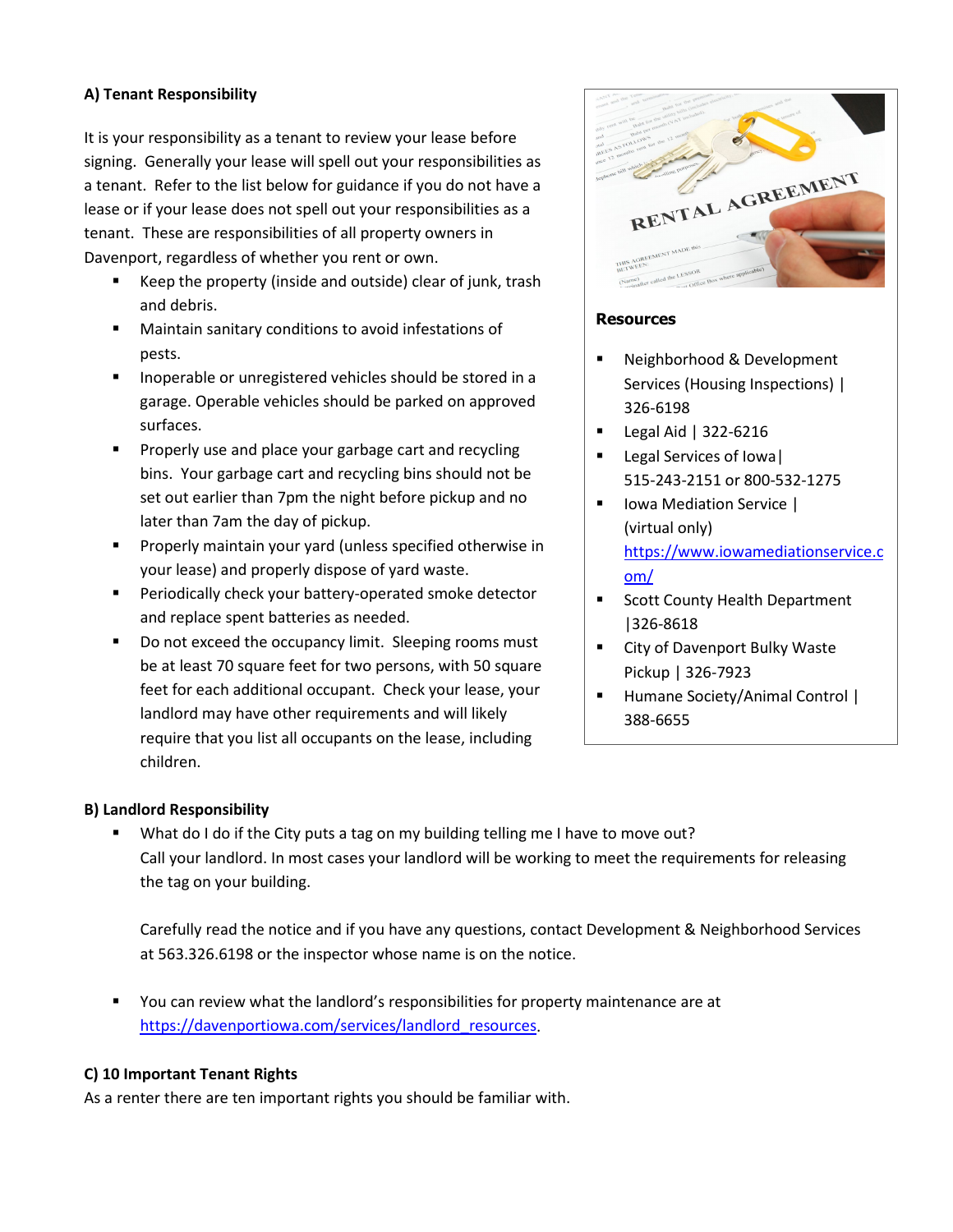# **A) Tenant Responsibility**

It is your responsibility as a tenant to review your lease before signing. Generally your lease will spell out your responsibilities as a tenant. Refer to the list below for guidance if you do not have a lease or if your lease does not spell out your responsibilities as a tenant. These are responsibilities of all property owners in Davenport, regardless of whether you rent or own.

- Keep the property (inside and outside) clear of junk, trash and debris.
- Maintain sanitary conditions to avoid infestations of pests.
- **Inoperable or unregistered vehicles should be stored in a** garage. Operable vehicles should be parked on approved surfaces.
- **Properly use and place your garbage cart and recycling** bins. Your garbage cart and recycling bins should not be set out earlier than 7pm the night before pickup and no later than 7am the day of pickup.
- **Properly maintain your yard (unless specified otherwise in** your lease) and properly dispose of yard waste.
- **Periodically check your battery-operated smoke detector** and replace spent batteries as needed.
- Do not exceed the occupancy limit. Sleeping rooms must be at least 70 square feet for two persons, with 50 square feet for each additional occupant. Check your lease, your landlord may have other requirements and will likely require that you list all occupants on the lease, including children.



# **Resources**

- **Neighborhood & Development** Services (Housing Inspections) | 326-6198
- Legal Aid | 322-6216
- Legal Services of Iowa| 515-243-2151 or 800-532-1275
- **I** Iowa Mediation Service | (virtual only) [https://www.iowamediationservice.c](https://www.iowamediationservice.com/) [om/](https://www.iowamediationservice.com/)
- Scott County Health Department |326-8618
- **EXECT:** City of Davenport Bulky Waste Pickup | 326-7923
- **Humane Society/Animal Control |** 388-6655

#### **B) Landlord Responsibility**

What do I do if the City puts a tag on my building telling me I have to move out? Call your landlord. In most cases your landlord will be working to meet the requirements for releasing the tag on your building.

Carefully read the notice and if you have any questions, contact Development & Neighborhood Services at 563.326.6198 or the inspector whose name is on the notice.

 You can review what the landlord's responsibilities for property maintenance are at [https://davenportiowa.com/services/landlord\\_resources.](https://davenportiowa.com/services/landlord_resources)

#### **C) 10 Important Tenant Rights**

As a renter there are ten important rights you should be familiar with.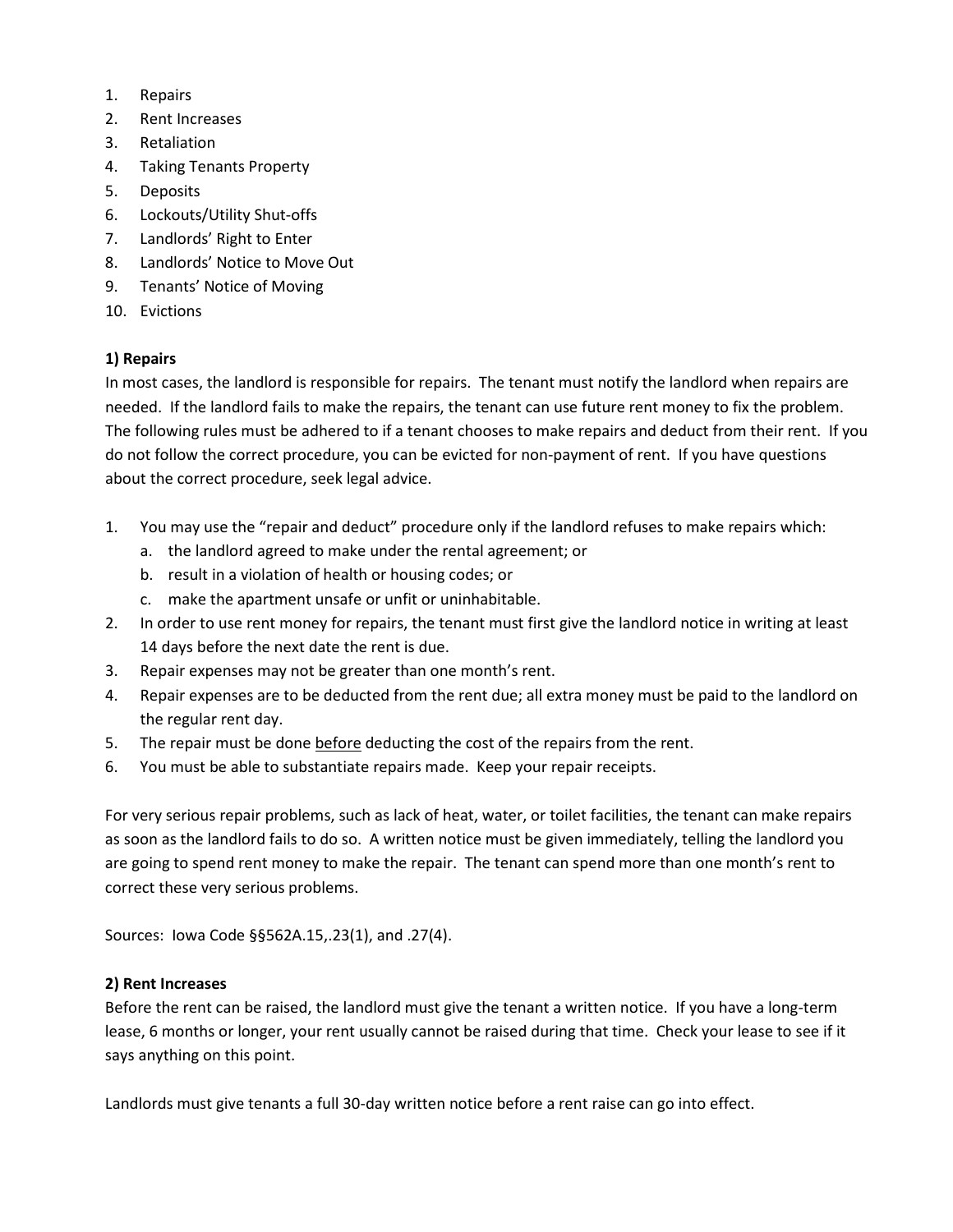- 1. Repairs
- 2. Rent Increases
- 3. Retaliation
- 4. Taking Tenants Property
- 5. Deposits
- 6. Lockouts/Utility Shut-offs
- 7. Landlords' Right to Enter
- 8. Landlords' Notice to Move Out
- 9. Tenants' Notice of Moving
- 10. Evictions

# **1) Repairs**

In most cases, the landlord is responsible for repairs. The tenant must notify the landlord when repairs are needed. If the landlord fails to make the repairs, the tenant can use future rent money to fix the problem. The following rules must be adhered to if a tenant chooses to make repairs and deduct from their rent. If you do not follow the correct procedure, you can be evicted for non-payment of rent. If you have questions about the correct procedure, seek legal advice.

- 1. You may use the "repair and deduct" procedure only if the landlord refuses to make repairs which:
	- a. the landlord agreed to make under the rental agreement; or
	- b. result in a violation of health or housing codes; or
	- c. make the apartment unsafe or unfit or uninhabitable.
- 2. In order to use rent money for repairs, the tenant must first give the landlord notice in writing at least 14 days before the next date the rent is due.
- 3. Repair expenses may not be greater than one month's rent.
- 4. Repair expenses are to be deducted from the rent due; all extra money must be paid to the landlord on the regular rent day.
- 5. The repair must be done before deducting the cost of the repairs from the rent.
- 6. You must be able to substantiate repairs made. Keep your repair receipts.

For very serious repair problems, such as lack of heat, water, or toilet facilities, the tenant can make repairs as soon as the landlord fails to do so. A written notice must be given immediately, telling the landlord you are going to spend rent money to make the repair. The tenant can spend more than one month's rent to correct these very serious problems.

Sources: Iowa Code §§562A.15,.23(1), and .27(4).

#### **2) Rent Increases**

Before the rent can be raised, the landlord must give the tenant a written notice. If you have a long-term lease, 6 months or longer, your rent usually cannot be raised during that time. Check your lease to see if it says anything on this point.

Landlords must give tenants a full 30-day written notice before a rent raise can go into effect.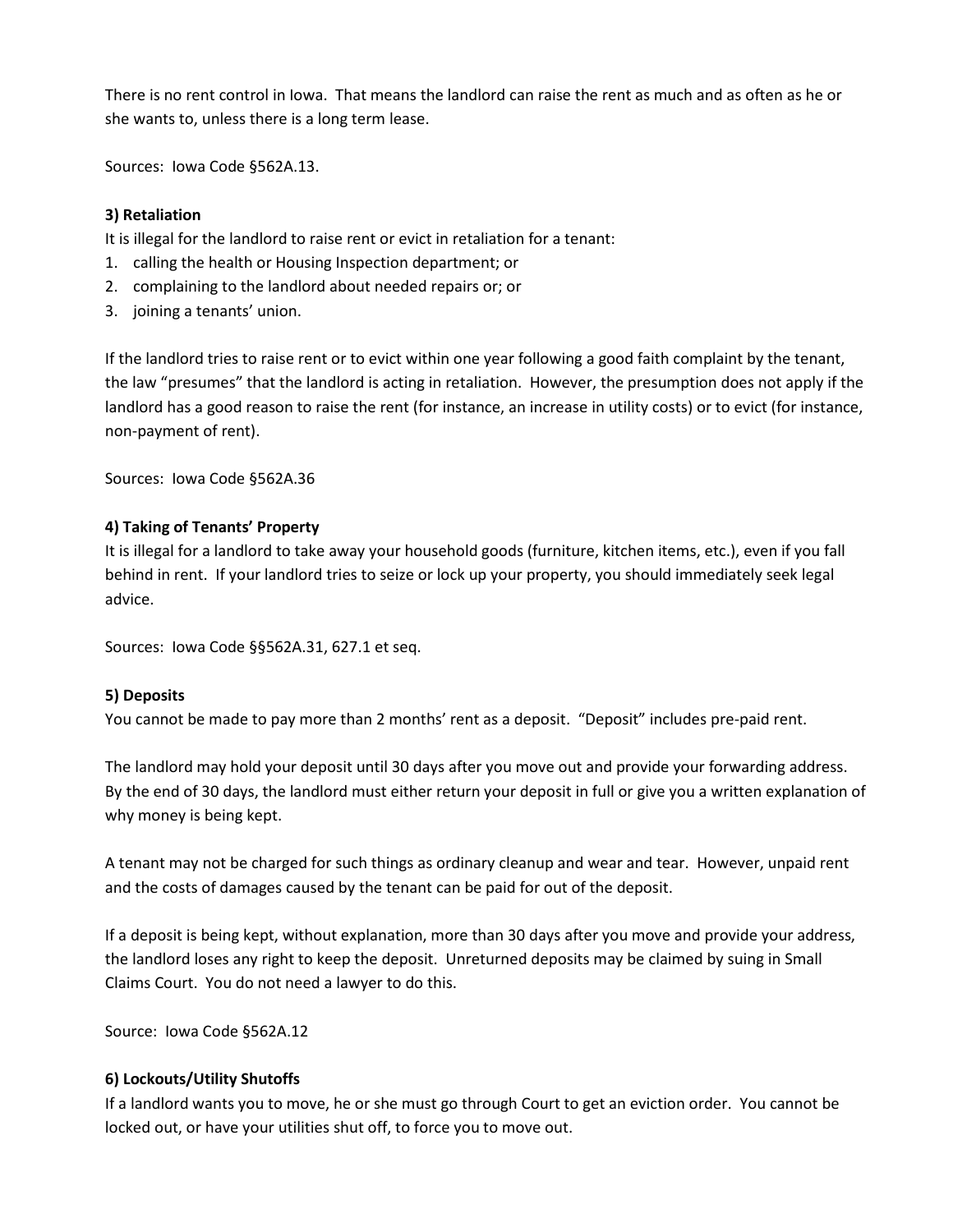There is no rent control in Iowa. That means the landlord can raise the rent as much and as often as he or she wants to, unless there is a long term lease.

Sources: Iowa Code §562A.13.

# **3) Retaliation**

It is illegal for the landlord to raise rent or evict in retaliation for a tenant:

- 1. calling the health or Housing Inspection department; or
- 2. complaining to the landlord about needed repairs or; or
- 3. joining a tenants' union.

If the landlord tries to raise rent or to evict within one year following a good faith complaint by the tenant, the law "presumes" that the landlord is acting in retaliation. However, the presumption does not apply if the landlord has a good reason to raise the rent (for instance, an increase in utility costs) or to evict (for instance, non-payment of rent).

Sources: Iowa Code §562A.36

# **4) Taking of Tenants' Property**

It is illegal for a landlord to take away your household goods (furniture, kitchen items, etc.), even if you fall behind in rent. If your landlord tries to seize or lock up your property, you should immediately seek legal advice.

Sources: Iowa Code §§562A.31, 627.1 et seq.

#### **5) Deposits**

You cannot be made to pay more than 2 months' rent as a deposit. "Deposit" includes pre-paid rent.

The landlord may hold your deposit until 30 days after you move out and provide your forwarding address. By the end of 30 days, the landlord must either return your deposit in full or give you a written explanation of why money is being kept.

A tenant may not be charged for such things as ordinary cleanup and wear and tear. However, unpaid rent and the costs of damages caused by the tenant can be paid for out of the deposit.

If a deposit is being kept, without explanation, more than 30 days after you move and provide your address, the landlord loses any right to keep the deposit. Unreturned deposits may be claimed by suing in Small Claims Court. You do not need a lawyer to do this.

Source: Iowa Code §562A.12

#### **6) Lockouts/Utility Shutoffs**

If a landlord wants you to move, he or she must go through Court to get an eviction order. You cannot be locked out, or have your utilities shut off, to force you to move out.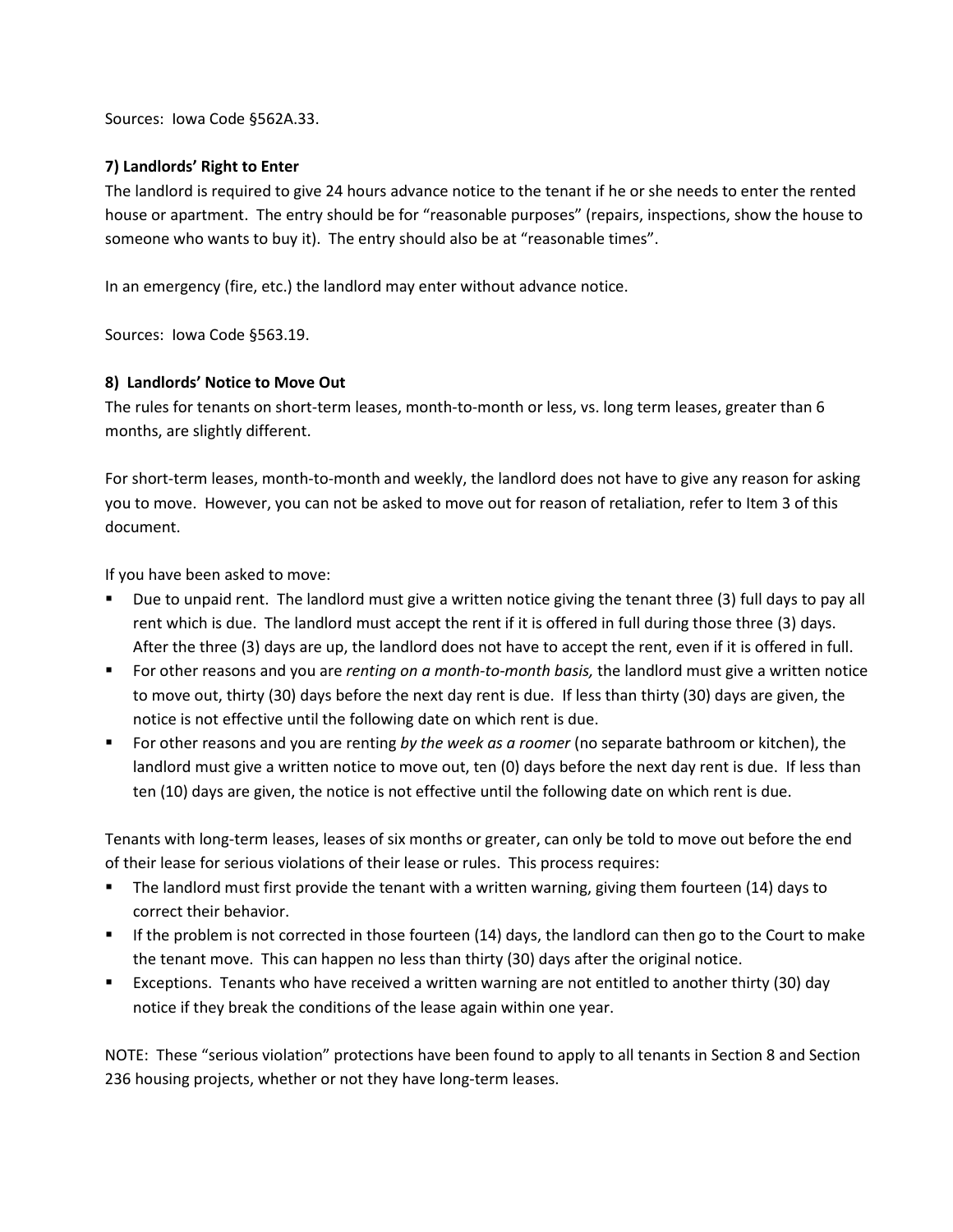Sources: Iowa Code §562A.33.

#### **7) Landlords' Right to Enter**

The landlord is required to give 24 hours advance notice to the tenant if he or she needs to enter the rented house or apartment. The entry should be for "reasonable purposes" (repairs, inspections, show the house to someone who wants to buy it). The entry should also be at "reasonable times".

In an emergency (fire, etc.) the landlord may enter without advance notice.

Sources: Iowa Code §563.19.

# **8) Landlords' Notice to Move Out**

The rules for tenants on short-term leases, month-to-month or less, vs. long term leases, greater than 6 months, are slightly different.

For short-term leases, month-to-month and weekly, the landlord does not have to give any reason for asking you to move. However, you can not be asked to move out for reason of retaliation, refer to Item 3 of this document.

If you have been asked to move:

- Due to unpaid rent. The landlord must give a written notice giving the tenant three (3) full days to pay all rent which is due. The landlord must accept the rent if it is offered in full during those three (3) days. After the three (3) days are up, the landlord does not have to accept the rent, even if it is offered in full.
- For other reasons and you are *renting on a month-to-month basis,* the landlord must give a written notice to move out, thirty (30) days before the next day rent is due. If less than thirty (30) days are given, the notice is not effective until the following date on which rent is due.
- For other reasons and you are renting *by the week as a roomer* (no separate bathroom or kitchen), the landlord must give a written notice to move out, ten (0) days before the next day rent is due. If less than ten (10) days are given, the notice is not effective until the following date on which rent is due.

Tenants with long-term leases, leases of six months or greater, can only be told to move out before the end of their lease for serious violations of their lease or rules. This process requires:

- The landlord must first provide the tenant with a written warning, giving them fourteen (14) days to correct their behavior.
- If the problem is not corrected in those fourteen (14) days, the landlord can then go to the Court to make the tenant move. This can happen no less than thirty (30) days after the original notice.
- Exceptions. Tenants who have received a written warning are not entitled to another thirty (30) day notice if they break the conditions of the lease again within one year.

NOTE: These "serious violation" protections have been found to apply to all tenants in Section 8 and Section 236 housing projects, whether or not they have long-term leases.